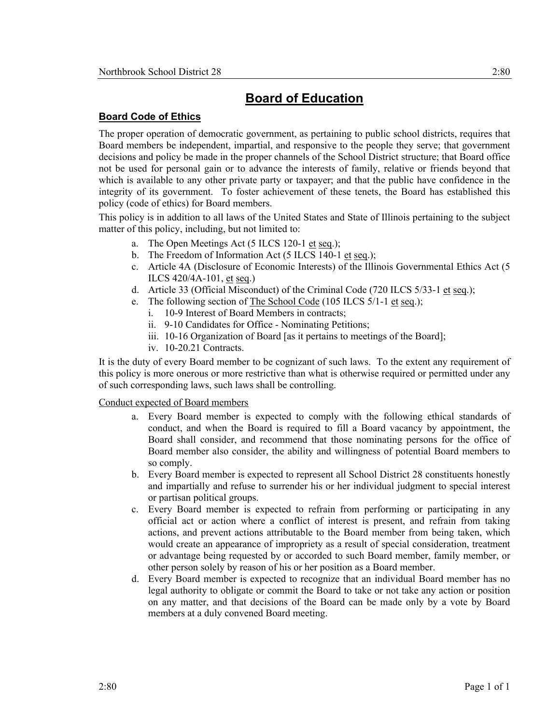## **Board of Education**

## **Board Code of Ethics**

 The proper operation of democratic government, as pertaining to public school districts, requires that Board members be independent, impartial, and responsive to the people they serve; that government decisions and policy be made in the proper channels of the School District structure; that Board office which is available to any other private party or taxpayer; and that the public have confidence in the integrity of its government. To foster achievement of these tenets, the Board has established this not be used for personal gain or to advance the interests of family, relative or friends beyond that policy (code of ethics) for Board members.

 matter of this policy, including, but not limited to: This policy is in addition to all laws of the United States and State of Illinois pertaining to the subject

- a. The Open Meetings Act (5 ILCS 120-1 et seq.);
- b. The Freedom of Information Act (5 ILCS 140-1 et seq.);
- ILCS 420/4A-101, et seq.) c. Article 4A (Disclosure of Economic Interests) of the Illinois Governmental Ethics Act (5
- d. Article 33 (Official Misconduct) of the Criminal Code (720 ILCS 5/33-1 et seq.);
- e. The following section of The School Code (105 ILCS 5/1-1 et seq.);
	- i. 10-9 Interest of Board Members in contracts;
	- ii. 9-10 Candidates for Office Nominating Petitions;
	- iii. 10-16 Organization of Board [as it pertains to meetings of the Board];
	- iv. 10-20.21 Contracts.

 It is the duty of every Board member to be cognizant of such laws. To the extent any requirement of this policy is more onerous or more restrictive than what is otherwise required or permitted under any of such corresponding laws, such laws shall be controlling.

## Conduct expected of Board members

- Board shall consider, and recommend that those nominating persons for the office of Board member also consider, the ability and willingness of potential Board members to a. Every Board member is expected to comply with the following ethical standards of conduct, and when the Board is required to fill a Board vacancy by appointment, the so comply.
- b. Every Board member is expected to represent all School District 28 constituents honestly and impartially and refuse to surrender his or her individual judgment to special interest or partisan political groups.
- official act or action where a conflict of interest is present, and refrain from taking would create an appearance of impropriety as a result of special consideration, treatment c. Every Board member is expected to refrain from performing or participating in any actions, and prevent actions attributable to the Board member from being taken, which or advantage being requested by or accorded to such Board member, family member, or other person solely by reason of his or her position as a Board member.
- legal authority to obligate or commit the Board to take or not take any action or position members at a duly convened Board meeting. d. Every Board member is expected to recognize that an individual Board member has no on any matter, and that decisions of the Board can be made only by a vote by Board